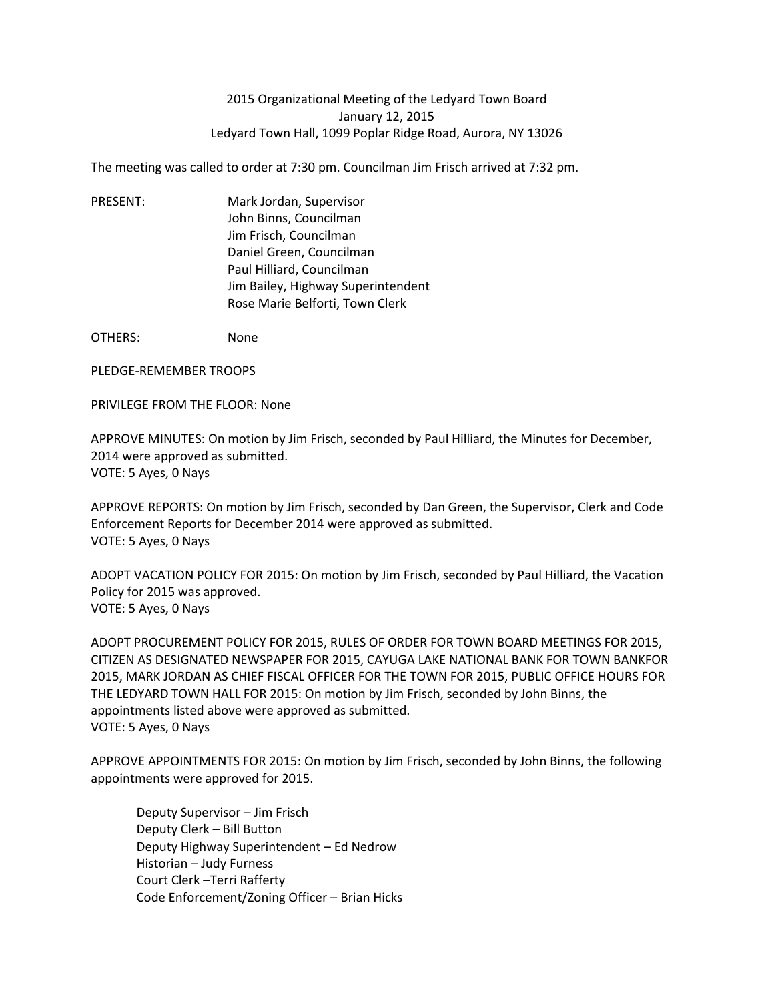## 2015 Organizational Meeting of the Ledyard Town Board January 12, 2015 Ledyard Town Hall, 1099 Poplar Ridge Road, Aurora, NY 13026

The meeting was called to order at 7:30 pm. Councilman Jim Frisch arrived at 7:32 pm.

PRESENT: Mark Jordan, Supervisor John Binns, Councilman Jim Frisch, Councilman Daniel Green, Councilman Paul Hilliard, Councilman Jim Bailey, Highway Superintendent Rose Marie Belforti, Town Clerk

OTHERS: None

PLEDGE-REMEMBER TROOPS

PRIVILEGE FROM THE FLOOR: None

APPROVE MINUTES: On motion by Jim Frisch, seconded by Paul Hilliard, the Minutes for December, 2014 were approved as submitted. VOTE: 5 Ayes, 0 Nays

APPROVE REPORTS: On motion by Jim Frisch, seconded by Dan Green, the Supervisor, Clerk and Code Enforcement Reports for December 2014 were approved as submitted. VOTE: 5 Ayes, 0 Nays

ADOPT VACATION POLICY FOR 2015: On motion by Jim Frisch, seconded by Paul Hilliard, the Vacation Policy for 2015 was approved. VOTE: 5 Ayes, 0 Nays

ADOPT PROCUREMENT POLICY FOR 2015, RULES OF ORDER FOR TOWN BOARD MEETINGS FOR 2015, CITIZEN AS DESIGNATED NEWSPAPER FOR 2015, CAYUGA LAKE NATIONAL BANK FOR TOWN BANKFOR 2015, MARK JORDAN AS CHIEF FISCAL OFFICER FOR THE TOWN FOR 2015, PUBLIC OFFICE HOURS FOR THE LEDYARD TOWN HALL FOR 2015: On motion by Jim Frisch, seconded by John Binns, the appointments listed above were approved as submitted. VOTE: 5 Ayes, 0 Nays

APPROVE APPOINTMENTS FOR 2015: On motion by Jim Frisch, seconded by John Binns, the following appointments were approved for 2015.

Deputy Supervisor – Jim Frisch Deputy Clerk – Bill Button Deputy Highway Superintendent – Ed Nedrow Historian – Judy Furness Court Clerk –Terri Rafferty Code Enforcement/Zoning Officer – Brian Hicks